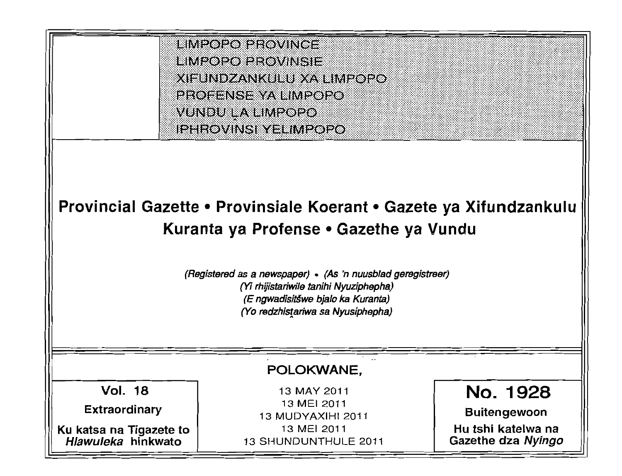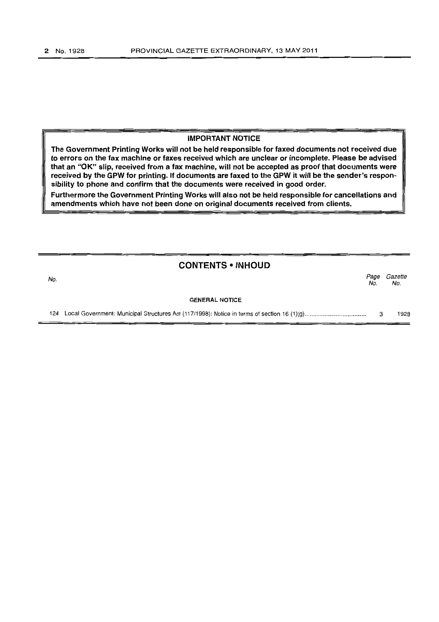### IMPORTANT NOTICE

The Government Printing Works will not be held responsible for faxed documents not received due to errors on the fax machine or faxes received which are unclear or incomplete. Please be advised that an "OK" slip, received from a fax machine, will not be accepted as proof that documents were received by the GPW for printing. If documents are faxed to the GPW it will be the sender's respon~ sibility to phone and confirm that the documents were received in good order.

Furthermore the Government Printing Works will also not be held responsible for cancellations and amendments which have not been done on original documents received from clients.

## **CONTENTS • INHOUD**

| No. |                       | Page<br>No. | Gazette<br>No. |
|-----|-----------------------|-------------|----------------|
|     | <b>GENERAL NOTICE</b> |             |                |
|     |                       |             | 1928           |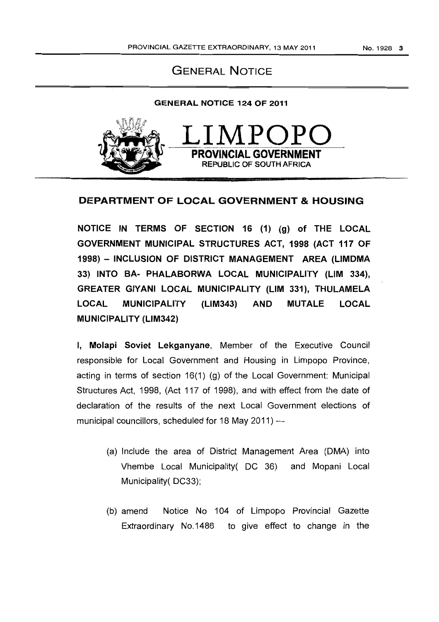# GENERAL NOTICE

## GENERAL NOTICE 124 OF 2011



# DEPARTMENT OF LOCAL GOVERNMENT & HOUSING

NOTICE IN TERMS OF SECTION 16 (1) (g) of THE LOCAL GOVERNMENT MUNICIPAL STRUCTURES ACT, 1998 (ACT 117 OF 1998) - INCLUSION OF DISTRICT MANAGEMENT AREA (LlMDMA 33) INTO BA- PHALABORWA LOCAL MUNICIPALITY (LIM 334), GREATER GIYANI LOCAL MUNICIPALITY (LIM 331), THULAMELA LOCAL MUNICIPALITY (L1M343) AND MUTALE LOCAL MUNICIPALITY (L1M342)

I, Molapi Soviet Lekganyane, Member of the Executive Council responsible for Local Government and Housing in Limpopo Province, acting in terms of section 16(1) (g) of the Local Government: Municipal Structures Act, 1998, (Act 117 of 1998), and with effect from the date of declaration of the results of the next Local Government elections of municipal councillors, scheduled for 18 May 2011) ---

- (a) Include the area of District Management Area (DMA) into Vhembe Local Municipality( DC 36) and Mopani Local Municipality( DC33);
- (b) amend Notice No 104 of Limpopo Provincial Gazette Extraordinary No.1486 to give effect to change in the